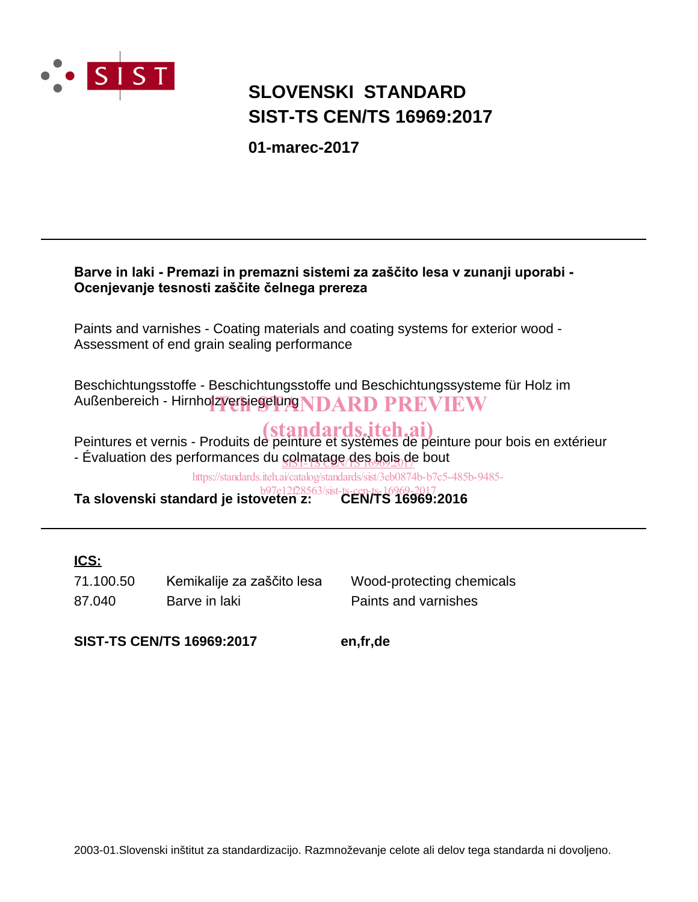

# **SIST-TS CEN/TS 16969:2017 SLOVENSKI STANDARD**

**01-marec-2017**

# Barve in laki - Premazi in premazni sistemi za zaščito lesa v zunanji uporabi -Ocenjevanje tesnosti zaščite čelnega prereza

Paints and varnishes - Coating materials and coating systems for exterior wood - Assessment of end grain sealing performance

Beschichtungsstoffe - Beschichtungsstoffe und Beschichtungssysteme für Holz im Außenbereich - Hirnholzversiegelung NDARD PREVIEW

Peintures et vernis - Produits de peinture et systèmes de peinture pour bois en extérieur (standards.iteh.ai) - Évaluation des performances du <u>colmatage des bois d</u>e bout

https://standards.iteh.ai/catalog/standards/sist/3eb0874b-b7c5-485b-9485-

**Ta slovenski standard je istoveten z: CEN/TS 16969:2016** b97e12f28563/sist-ts-cen-ts-16969-2017

# **ICS:**

87.040 Barve in laki **Paints and varnishes** 71.100.50 Kemikalije za zaščito lesa Wood-protecting chemicals

**SIST-TS CEN/TS 16969:2017 en,fr,de**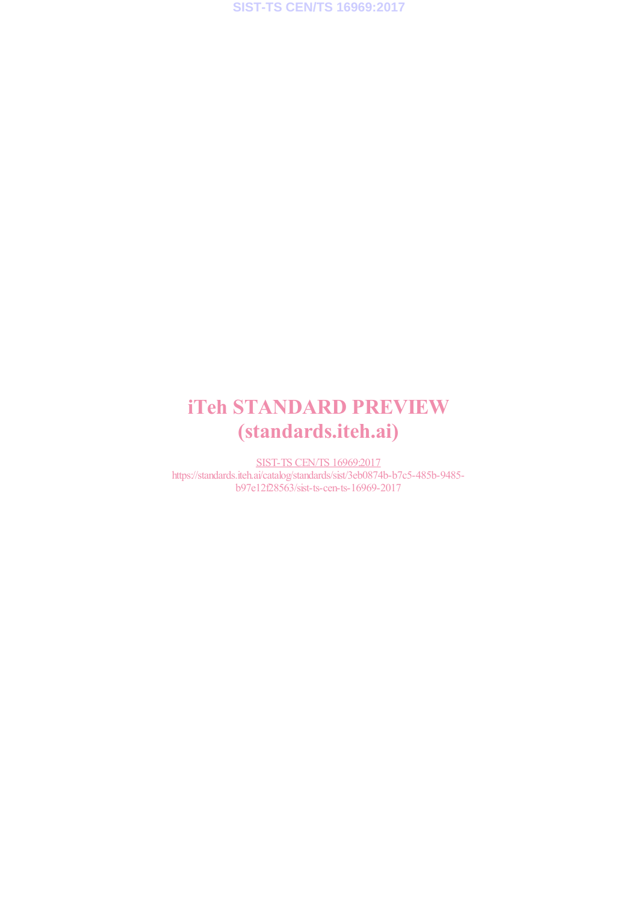# iTeh STANDARD PREVIEW (standards.iteh.ai)

SIST-TS CEN/TS 16969:2017 https://standards.iteh.ai/catalog/standards/sist/3eb0874b-b7c5-485b-9485b97e12f28563/sist-ts-cen-ts-16969-2017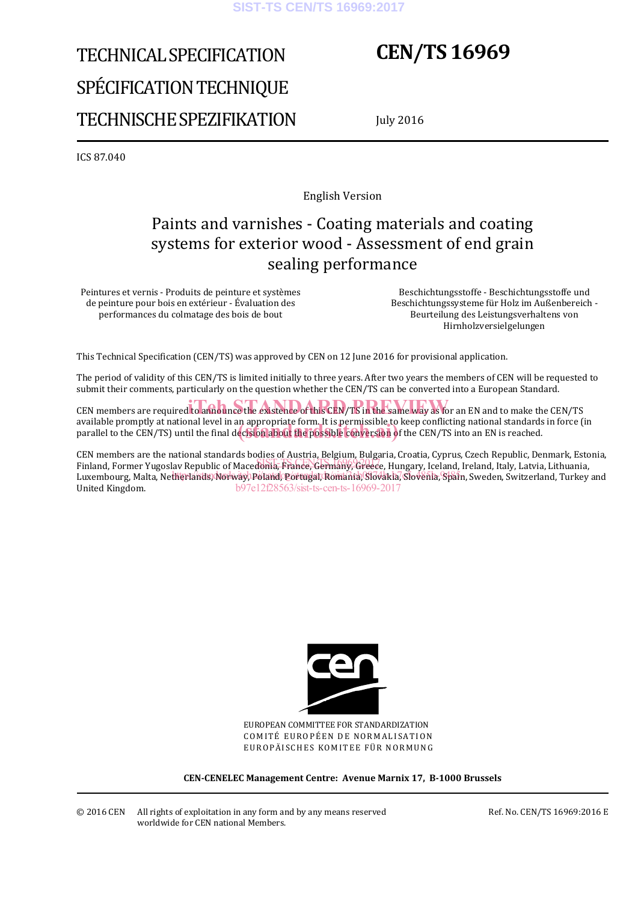#### **SIST-TS CEN/TS 16969:2017**

# TECHNICAL SPECIFICATION SPÉCIFICATION TECHNIQUE TECHNISCHE SPEZIFIKATION

# **CEN/TS 16969**

July 2016

ICS 87.040

English Version

# Paints and varnishes - Coating materials and coating systems for exterior wood - Assessment of end grain sealing performance

Peintures et vernis - Produits de peinture et systèmes de peinture pour bois en extérieur - Évaluation des performances du colmatage des bois de bout

 Beschichtungsstoffe - Beschichtungsstoffe und Beschichtungssysteme für Holz im Außenbereich - Beurteilung des Leistungsverhaltens von Hirnholzversielgelungen

This Technical Specification (CEN/TS) was approved by CEN on 12 June 2016 for provisional application.

The period of validity of this CEN/TS is limited initially to three years. After two years the members of CEN will be requested to submit their comments, particularly on the question whether the CEN/TS can be converted into a European Standard.

CEN members are required to announce the existence of this CEN/TS in the same way as for an EN and to make the CEN/TS available promptly at national level in an appropriate form. It is permissible to keep conflicting national standards in force (in available promptly at national level in an appropriate form. It is permissible to keep conflicting national standards<br>parallel to the CEN/TS) until the final decision about the possible conversion of the CEN/TS into an EN

CEN members are the national standards bodies of Austria, Belgium, Bulgaria, Croatia, Cyprus, Czech Republic, Denmark, Estonia, any members are the national standards bodies of ridging, bergaing bargaria, croatal, cyprus, electricepublic, bemining, esce<br>Finland, Former Yugoslav Republic of Macedonia<del>, France, Germany, Greec</del>e, Hungary, Iceland, Ire Luxembourg, Malta, Netherlands) Norwayl Poland Ogortugal, Romania, SiJovakia, Siovenia, Spain, Sweden, Switzerland, Turkey and United Kingdom. b97e12f28563/sist-ts-cen-ts-16969-2017



EUROPEAN COMMITTEE FOR STANDARDIZATION COMITÉ EUROPÉEN DE NORMALISATION EUROPÄISCHES KOMITEE FÜR NORMUNG

**CEN-CENELEC Management Centre: Avenue Marnix 17, B-1000 Brussels** 

© 2016 CEN All rights of exploitation in any form and by any means reserved worldwide for CEN national Members.

Ref. No. CEN/TS 16969:2016 E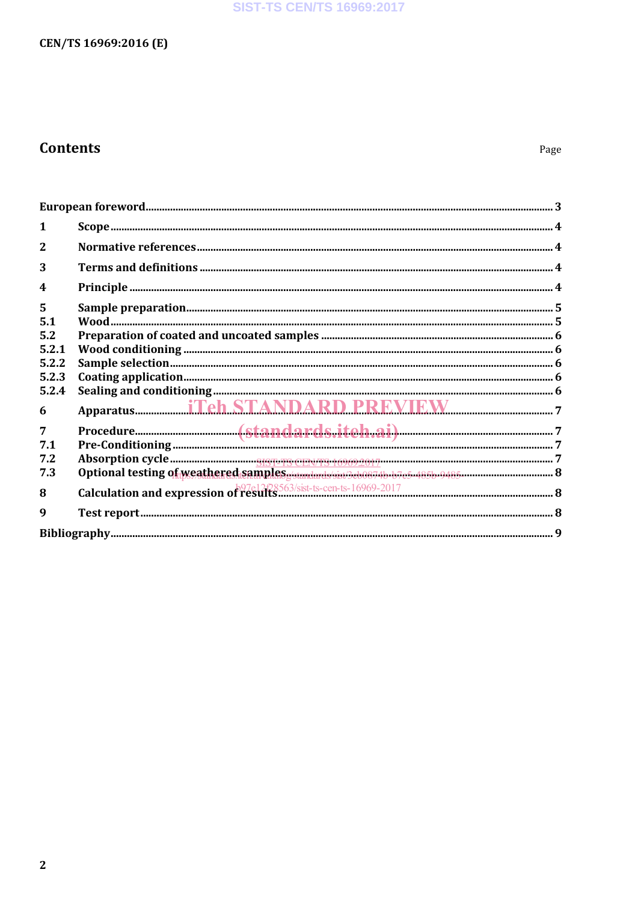# **SIST-TS CEN/TS 16969:2017**

# CEN/TS 16969:2016 (E)

# **Contents**

| ${\bf European\; foreword.}\label{prop:1} 3$ |                                                                                                                                                                                                                                                                                                                                                                                                    |  |
|----------------------------------------------|----------------------------------------------------------------------------------------------------------------------------------------------------------------------------------------------------------------------------------------------------------------------------------------------------------------------------------------------------------------------------------------------------|--|
| 1                                            |                                                                                                                                                                                                                                                                                                                                                                                                    |  |
| $\mathbf{2}$                                 |                                                                                                                                                                                                                                                                                                                                                                                                    |  |
| 3                                            |                                                                                                                                                                                                                                                                                                                                                                                                    |  |
| $\boldsymbol{4}$                             |                                                                                                                                                                                                                                                                                                                                                                                                    |  |
| 5                                            |                                                                                                                                                                                                                                                                                                                                                                                                    |  |
| 5.1                                          |                                                                                                                                                                                                                                                                                                                                                                                                    |  |
| 5.2                                          |                                                                                                                                                                                                                                                                                                                                                                                                    |  |
| 5.2.1                                        |                                                                                                                                                                                                                                                                                                                                                                                                    |  |
| 5.2.2                                        |                                                                                                                                                                                                                                                                                                                                                                                                    |  |
| 5.2.3                                        | $\textbf{Coating application} \textit{} \textit{} \textit{} \textit{} \textit{} \textit{} \textit{} \textit{} \textit{} \textit{} \textit{} \textit{} \textit{} \textit{} \textit{} \textit{} \textit{} \textit{} \textit{} \textit{} \textit{} \textit{} \textit{} \textit{} \textit{} \textit{} \textit{} \textit{} \textit{} \textit{} \textit{} \textit{} \textit{} \textit{} \textit{} \text$ |  |
| 5.2.4                                        |                                                                                                                                                                                                                                                                                                                                                                                                    |  |
| 6                                            |                                                                                                                                                                                                                                                                                                                                                                                                    |  |
| $\overline{7}$                               |                                                                                                                                                                                                                                                                                                                                                                                                    |  |
| 7.1                                          |                                                                                                                                                                                                                                                                                                                                                                                                    |  |
| 7.2                                          |                                                                                                                                                                                                                                                                                                                                                                                                    |  |
| 7.3                                          |                                                                                                                                                                                                                                                                                                                                                                                                    |  |
|                                              |                                                                                                                                                                                                                                                                                                                                                                                                    |  |
| 8                                            |                                                                                                                                                                                                                                                                                                                                                                                                    |  |
| 9                                            |                                                                                                                                                                                                                                                                                                                                                                                                    |  |
|                                              |                                                                                                                                                                                                                                                                                                                                                                                                    |  |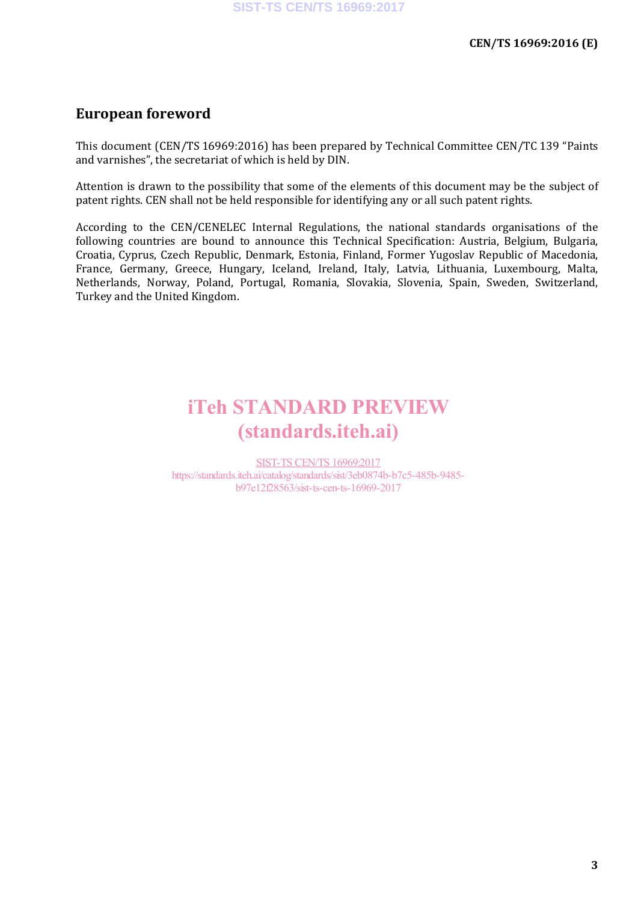# **European foreword**

This document (CEN/TS 16969:2016) has been prepared by Technical Committee CEN/TC 139 "Paints and varnishes", the secretariat of which is held by DIN.

Attention is drawn to the possibility that some of the elements of this document may be the subject of patent rights. CEN shall not be held responsible for identifying any or all such patent rights.

According to the CEN/CENELEC Internal Regulations, the national standards organisations of the following countries are bound to announce this Technical Specification: Austria, Belgium, Bulgaria, Croatia, Cyprus, Czech Republic, Denmark, Estonia, Finland, Former Yugoslav Republic of Macedonia, France, Germany, Greece, Hungary, Iceland, Ireland, Italy, Latvia, Lithuania, Luxembourg, Malta, Netherlands, Norway, Poland, Portugal, Romania, Slovakia, Slovenia, Spain, Sweden, Switzerland, Turkey and the United Kingdom.

# iTeh STANDARD PREVIEW (standards.iteh.ai)

SIST-TS CEN/TS 16969:2017 https://standards.iteh.ai/catalog/standards/sist/3eb0874b-b7c5-485b-9485 b97e12f28563/sist-ts-cen-ts-16969-2017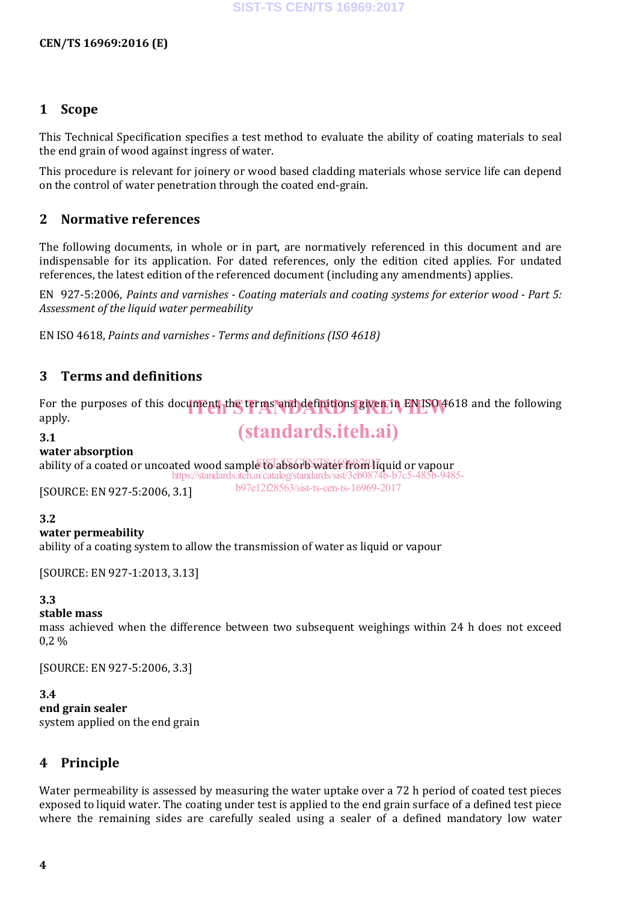#### **1 Scope**

This Technical Specification specifies a test method to evaluate the ability of coating materials to seal the end grain of wood against ingress of water.

This procedure is relevant for joinery or wood based cladding materials whose service life can depend on the control of water penetration through the coated end-grain.

### **2 Normative references**

The following documents, in whole or in part, are normatively referenced in this document and are indispensable for its application. For dated references, only the edition cited applies. For undated references, the latest edition of the referenced document (including any amendments) applies.

EN 927-5:2006, *Paints and varnishes - Coating materials and coating systems for exterior wood - Part 5: Assessment of the liquid water permeability*

EN ISO 4618, *Paints and varnishes - Terms and definitions (ISO 4618)*

### **3 Terms and definitions**

For the purposes of this document, the terms and definitions given in EN ISO 4618 and the following<br>annly apply.

**3.1**

# (standards.iteh.ai)

#### **water absorption**

ability of a coated or uncoated wood sample to absorb water from liquid or vapour https://standards.iteh.ai/catalog/standards/sist/3eb08

[SOURCE: EN 927-5:2006, 3.1]

b97e12f28563/sist-ts-cen-ts-16969-2017

#### **3.2**

#### **water permeability**

ability of a coating system to allow the transmission of water as liquid or vapour

[SOURCE: EN 927-1:2013, 3.13]

#### **3.3**

#### **stable mass**

mass achieved when the difference between two subsequent weighings within 24 h does not exceed 0,2 %

[SOURCE: EN 927-5:2006, 3.3]

#### **3.4**

#### **end grain sealer**

system applied on the end grain

### **4 Principle**

Water permeability is assessed by measuring the water uptake over a 72 h period of coated test pieces exposed to liquid water. The coating under test is applied to the end grain surface of a defined test piece where the remaining sides are carefully sealed using a sealer of a defined mandatory low water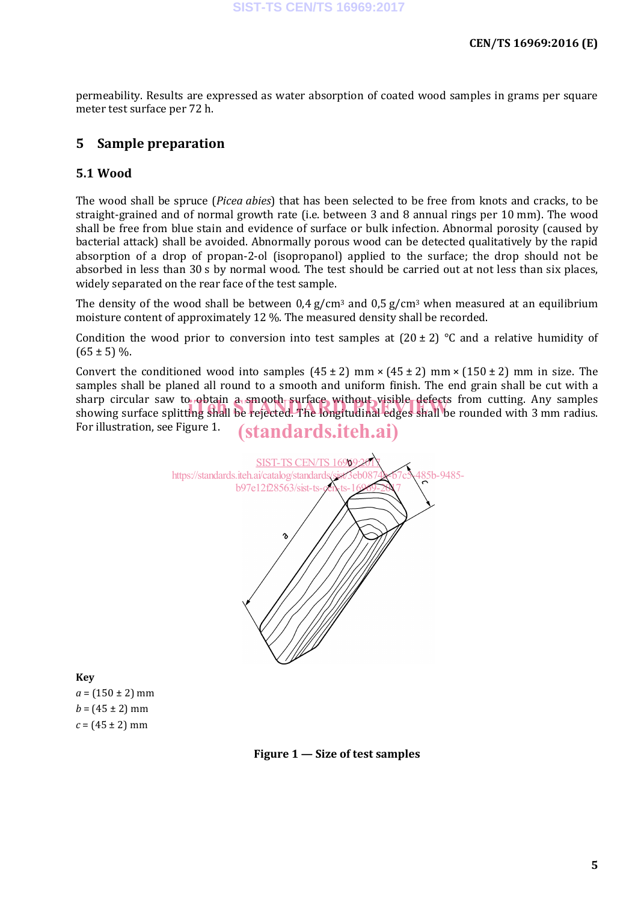permeability. Results are expressed as water absorption of coated wood samples in grams per square meter test surface per 72 h.

# **5 Sample preparation**

#### **5.1 Wood**

The wood shall be spruce (*Picea abies*) that has been selected to be free from knots and cracks, to be straight-grained and of normal growth rate (i.e. between 3 and 8 annual rings per 10 mm). The wood shall be free from blue stain and evidence of surface or bulk infection. Abnormal porosity (caused by bacterial attack) shall be avoided. Abnormally porous wood can be detected qualitatively by the rapid absorption of a drop of propan-2-ol (isopropanol) applied to the surface; the drop should not be absorbed in less than 30 s by normal wood. The test should be carried out at not less than six places, widely separated on the rear face of the test sample.

The density of the wood shall be between  $0.4$  g/cm<sup>3</sup> and  $0.5$  g/cm<sup>3</sup> when measured at an equilibrium moisture content of approximately 12 %. The measured density shall be recorded.

Condition the wood prior to conversion into test samples at  $(20 \pm 2)$  °C and a relative humidity of  $(65 \pm 5)$  %.

Convert the conditioned wood into samples  $(45 \pm 2)$  mm  $\times$   $(45 \pm 2)$  mm  $\times$   $(150 \pm 2)$  mm in size. The samples shall be planed all round to a smooth and uniform finish. The end grain shall be cut with a sharp circular saw to obtain a smooth surface without visible defects from cutting. Any samples sharp circular saw to obtain a smooth surface without visible defects from cutting. Any samples<br>showing surface splitting shall be rejected. The longitudinal edges shall be rounded with 3 mm radius. For illustration, see Figure 1. (standards.iteh.ai)



### **Key**

 $a = (150 \pm 2)$  mm  $b = (45 \pm 2)$  mm  $c = (45 \pm 2)$  mm

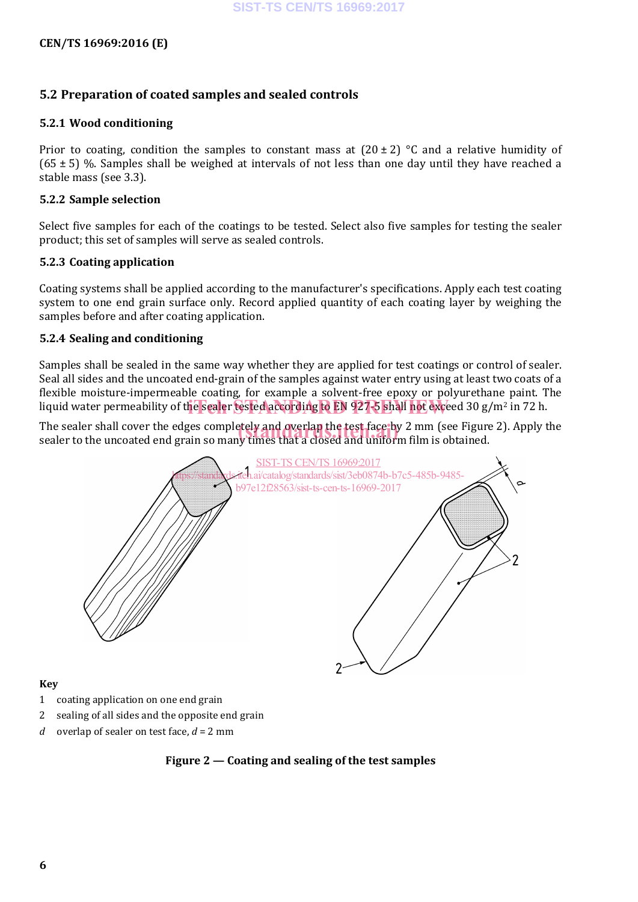#### **CEN/TS 16969:2016 (E)**

#### **5.2 Preparation of coated samples and sealed controls**

#### **5.2.1 Wood conditioning**

Prior to coating, condition the samples to constant mass at  $(20 \pm 2)$  °C and a relative humidity of (65  $\pm$  5) %. Samples shall be weighed at intervals of not less than one day until they have reached a stable mass (see 3.3).

#### **5.2.2 Sample selection**

Select five samples for each of the coatings to be tested. Select also five samples for testing the sealer product; this set of samples will serve as sealed controls.

#### **5.2.3 Coating application**

Coating systems shall be applied according to the manufacturer's specifications. Apply each test coating system to one end grain surface only. Record applied quantity of each coating layer by weighing the samples before and after coating application.

#### **5.2.4 Sealing and conditioning**

Samples shall be sealed in the same way whether they are applied for test coatings or control of sealer. Seal all sides and the uncoated end-grain of the samples against water entry using at least two coats of a flexible moisture-impermeable coating, for example a solvent-free epoxy or polyurethane paint. The liquid water permeability of the sealer tested according to EN 927-5 shall not exceed 30 g/m<sup>2</sup> in 72 h.

The sealer shall cover the edges completely and overlap the test face by 2 mm (see Figure 2). Apply the<br>sealer to the uncoated end grain so many times that a closed and uniform film is obtained. sealer to the uncoated end grain so many times that a closed and uniform film is obtained.



#### **Key**

- 1 coating application on one end grain
- 2 sealing of all sides and the opposite end grain
- *d* overlap of sealer on test face, *d* = 2 mm

#### **Figure 2 — Coating and sealing of the test samples**